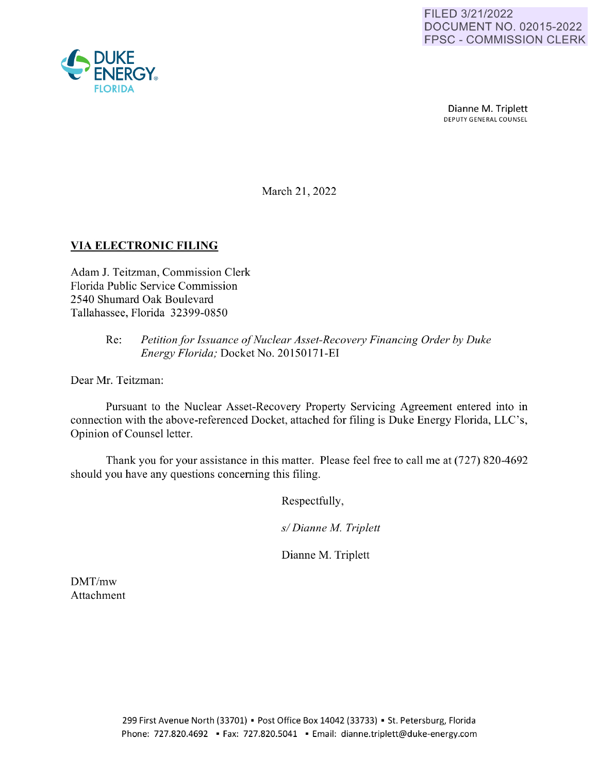

Dianne M. Triplett DEPUTY GENERAL COUNSEL

March 21, 2022

## **VIA ELECTRONIC FILING**

Adam J. Teitzman, Commission Clerk Florida Public Service Commission 2540 Shumard Oak Boulevard Tallahassee, Florida 32399-0850

## Re: *Petition for Issuance of Nuclear Asset-Recovery Financing Order by Duke Energy Florida;* Docket No. 20150171-EI

Dear Mr. Teitzman:

Pursuant to the Nuclear Asset-Recovery Property Servicing Agreement entered into in connection with the above-referenced Docket, attached for filing is Duke Energy Florida, LLC's, Opinion of Counsel letter.

Thank you for your assistance in this matter. Please feel free to call me at (727) 820-4692 should you have any questions concerning this filing.

Respectfully,

*sl Dianne M. Triplett* 

Dianne M. Triplett

DMT/mw Attachment

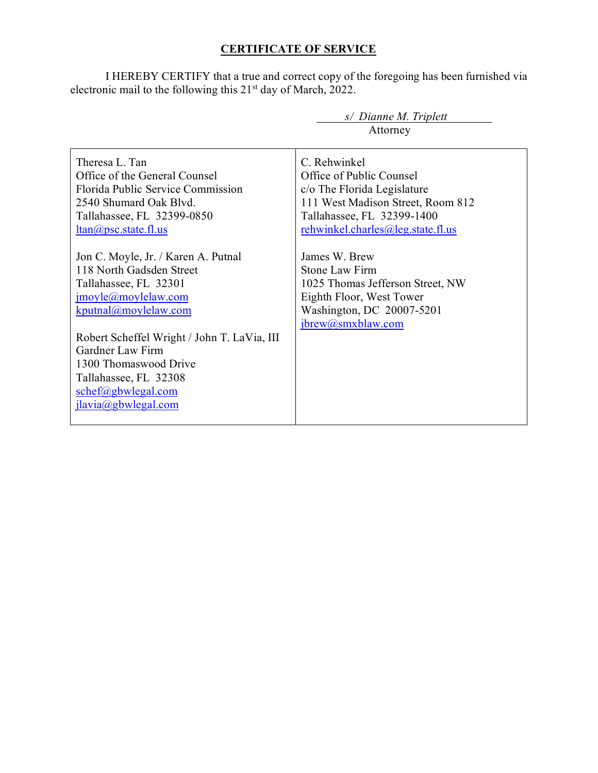## **CERTIFICATE OF SERVICE**

I HEREBY CERTIFY that a true and correct copy of the foregoing has been furnished via electronic mail to the following this 21<sup>st</sup> day of March, 2022.

|                                             | $s$ Dianne M. Triplett            |
|---------------------------------------------|-----------------------------------|
|                                             | Attorney                          |
|                                             |                                   |
| Theresa L. Tan                              | C. Rehwinkel                      |
| Office of the General Counsel               | Office of Public Counsel          |
| Florida Public Service Commission           | c/o The Florida Legislature       |
| 2540 Shumard Oak Blvd.                      | 111 West Madison Street, Room 812 |
| Tallahassee, FL 32399-0850                  | Tallahassee, FL 32399-1400        |
| $ltan(a)$ psc.state.fl.us                   | rehwinkel.charles@leg.state.fl.us |
|                                             |                                   |
| Jon C. Moyle, Jr. / Karen A. Putnal         | James W. Brew                     |
| 118 North Gadsden Street                    | Stone Law Firm                    |
| Tallahassee, FL 32301                       | 1025 Thomas Jefferson Street, NW  |
| $\text{imoyle}(a)$ moylelaw.com             | Eighth Floor, West Tower          |
| kputnal@moylelaw.com                        | Washington, DC 20007-5201         |
|                                             | jbrew@smxblaw.com                 |
| Robert Scheffel Wright / John T. LaVia, III |                                   |
| Gardner Law Firm                            |                                   |
| 1300 Thomaswood Drive                       |                                   |
| Tallahassee, FL 32308                       |                                   |
| schef@gbwlegal.com                          |                                   |
| ilavia@gbwlegal.com                         |                                   |
|                                             |                                   |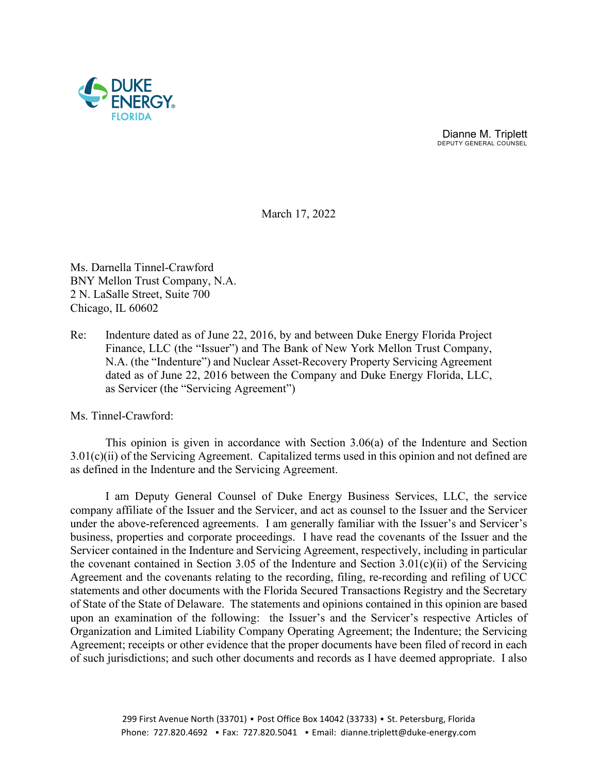

 Dianne M. Triplett DEPUTY GENERAL COUNSEL

March 17, 2022

Ms. Darnella Tinnel-Crawford BNY Mellon Trust Company, N.A. 2 N. LaSalle Street, Suite 700 Chicago, IL 60602

Re: Indenture dated as of June 22, 2016, by and between Duke Energy Florida Project Finance, LLC (the "Issuer") and The Bank of New York Mellon Trust Company, N.A. (the "Indenture") and Nuclear Asset-Recovery Property Servicing Agreement dated as of June 22, 2016 between the Company and Duke Energy Florida, LLC, as Servicer (the "Servicing Agreement")

Ms. Tinnel-Crawford:

This opinion is given in accordance with Section 3.06(a) of the Indenture and Section 3.01(c)(ii) of the Servicing Agreement. Capitalized terms used in this opinion and not defined are as defined in the Indenture and the Servicing Agreement.

I am Deputy General Counsel of Duke Energy Business Services, LLC, the service company affiliate of the Issuer and the Servicer, and act as counsel to the Issuer and the Servicer under the above-referenced agreements. I am generally familiar with the Issuer's and Servicer's business, properties and corporate proceedings. I have read the covenants of the Issuer and the Servicer contained in the Indenture and Servicing Agreement, respectively, including in particular the covenant contained in Section 3.05 of the Indenture and Section 3.01(c)(ii) of the Servicing Agreement and the covenants relating to the recording, filing, re-recording and refiling of UCC statements and other documents with the Florida Secured Transactions Registry and the Secretary of State of the State of Delaware. The statements and opinions contained in this opinion are based upon an examination of the following: the Issuer's and the Servicer's respective Articles of Organization and Limited Liability Company Operating Agreement; the Indenture; the Servicing Agreement; receipts or other evidence that the proper documents have been filed of record in each of such jurisdictions; and such other documents and records as I have deemed appropriate. I also